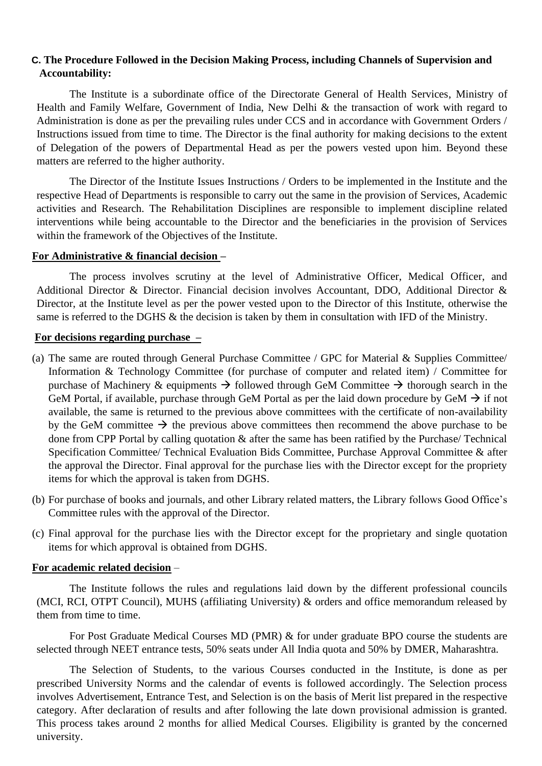# **C. The Procedure Followed in the Decision Making Process, including Channels of Supervision and Accountability:**

The Institute is a subordinate office of the Directorate General of Health Services, Ministry of Health and Family Welfare, Government of India, New Delhi & the transaction of work with regard to Administration is done as per the prevailing rules under CCS and in accordance with Government Orders / Instructions issued from time to time. The Director is the final authority for making decisions to the extent of Delegation of the powers of Departmental Head as per the powers vested upon him. Beyond these matters are referred to the higher authority.

The Director of the Institute Issues Instructions / Orders to be implemented in the Institute and the respective Head of Departments is responsible to carry out the same in the provision of Services, Academic activities and Research. The Rehabilitation Disciplines are responsible to implement discipline related interventions while being accountable to the Director and the beneficiaries in the provision of Services within the framework of the Objectives of the Institute.

## **For Administrative & financial decision –**

The process involves scrutiny at the level of Administrative Officer, Medical Officer, and Additional Director & Director. Financial decision involves Accountant, DDO, Additional Director & Director, at the Institute level as per the power vested upon to the Director of this Institute, otherwise the same is referred to the DGHS & the decision is taken by them in consultation with IFD of the Ministry.

### **For decisions regarding purchase –**

- (a) The same are routed through General Purchase Committee / GPC for Material & Supplies Committee/ Information & Technology Committee (for purchase of computer and related item) / Committee for purchase of Machinery & equipments  $\rightarrow$  followed through GeM Committee  $\rightarrow$  thorough search in the GeM Portal, if available, purchase through GeM Portal as per the laid down procedure by GeM  $\rightarrow$  if not available, the same is returned to the previous above committees with the certificate of non-availability by the GeM committee  $\rightarrow$  the previous above committees then recommend the above purchase to be done from CPP Portal by calling quotation & after the same has been ratified by the Purchase/ Technical Specification Committee/ Technical Evaluation Bids Committee, Purchase Approval Committee & after the approval the Director. Final approval for the purchase lies with the Director except for the propriety items for which the approval is taken from DGHS.
- (b) For purchase of books and journals, and other Library related matters, the Library follows Good Office's Committee rules with the approval of the Director.
- (c) Final approval for the purchase lies with the Director except for the proprietary and single quotation items for which approval is obtained from DGHS.

#### **For academic related decision** –

The Institute follows the rules and regulations laid down by the different professional councils (MCI, RCI, OTPT Council), MUHS (affiliating University) & orders and office memorandum released by them from time to time.

For Post Graduate Medical Courses MD (PMR) & for under graduate BPO course the students are selected through NEET entrance tests, 50% seats under All India quota and 50% by DMER, Maharashtra.

The Selection of Students, to the various Courses conducted in the Institute, is done as per prescribed University Norms and the calendar of events is followed accordingly. The Selection process involves Advertisement, Entrance Test, and Selection is on the basis of Merit list prepared in the respective category. After declaration of results and after following the late down provisional admission is granted. This process takes around 2 months for allied Medical Courses. Eligibility is granted by the concerned university.